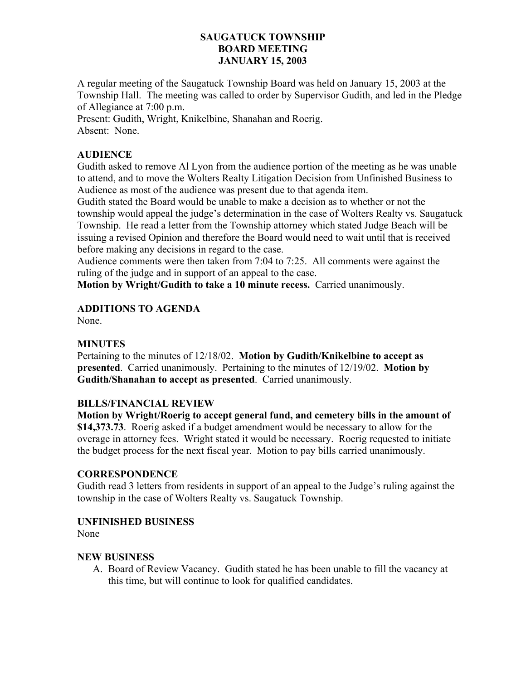### **SAUGATUCK TOWNSHIP BOARD MEETING JANUARY 15, 2003**

A regular meeting of the Saugatuck Township Board was held on January 15, 2003 at the Township Hall. The meeting was called to order by Supervisor Gudith, and led in the Pledge of Allegiance at 7:00 p.m.

Present: Gudith, Wright, Knikelbine, Shanahan and Roerig. Absent: None.

## **AUDIENCE**

Gudith asked to remove Al Lyon from the audience portion of the meeting as he was unable to attend, and to move the Wolters Realty Litigation Decision from Unfinished Business to Audience as most of the audience was present due to that agenda item.

Gudith stated the Board would be unable to make a decision as to whether or not the township would appeal the judge's determination in the case of Wolters Realty vs. Saugatuck Township. He read a letter from the Township attorney which stated Judge Beach will be issuing a revised Opinion and therefore the Board would need to wait until that is received before making any decisions in regard to the case.

Audience comments were then taken from 7:04 to 7:25. All comments were against the ruling of the judge and in support of an appeal to the case.

**Motion by Wright/Gudith to take a 10 minute recess.** Carried unanimously.

# **ADDITIONS TO AGENDA**

None.

### **MINUTES**

Pertaining to the minutes of 12/18/02. **Motion by Gudith/Knikelbine to accept as presented**. Carried unanimously. Pertaining to the minutes of 12/19/02. **Motion by Gudith/Shanahan to accept as presented**. Carried unanimously.

### **BILLS/FINANCIAL REVIEW**

**Motion by Wright/Roerig to accept general fund, and cemetery bills in the amount of \$14,373.73**. Roerig asked if a budget amendment would be necessary to allow for the overage in attorney fees. Wright stated it would be necessary. Roerig requested to initiate the budget process for the next fiscal year. Motion to pay bills carried unanimously.

### **CORRESPONDENCE**

Gudith read 3 letters from residents in support of an appeal to the Judge's ruling against the township in the case of Wolters Realty vs. Saugatuck Township.

### **UNFINISHED BUSINESS**

None

### **NEW BUSINESS**

A. Board of Review Vacancy. Gudith stated he has been unable to fill the vacancy at this time, but will continue to look for qualified candidates.